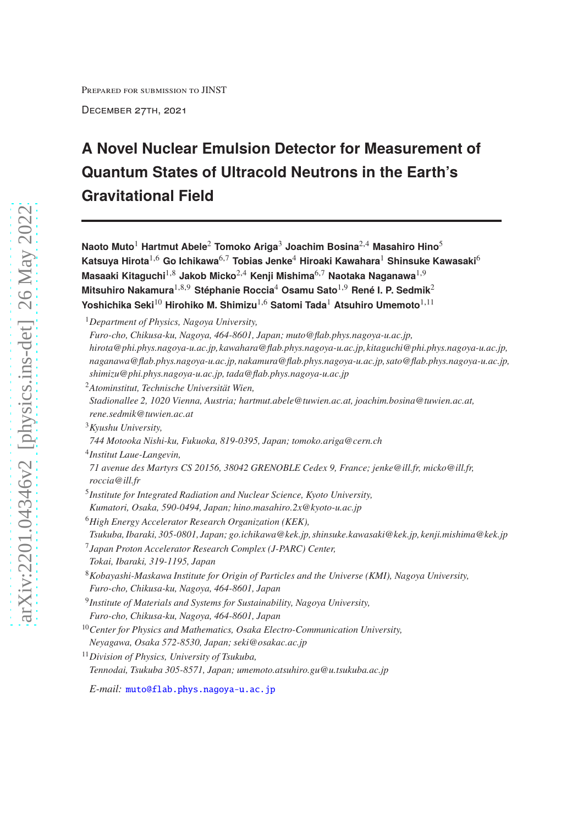Prepared for submission to JINST

December 27th, 2021

# **A Novel Nuclear Emulsion Detector for Measurement of Quantum States of Ultracold Neutrons in the Earth's Gravitational Field**

**Naoto Muto**<sup>1</sup> **Hartmut Abele**<sup>2</sup> **Tomoko Ariga**<sup>3</sup> **Joachim Bosina**2,<sup>4</sup> **Masahiro Hino**<sup>5</sup> **Katsuya Hirota**1,<sup>6</sup> **Go Ichikawa**6,<sup>7</sup> **Tobias Jenke**<sup>4</sup> **Hiroaki Kawahara**<sup>1</sup> **Shinsuke Kawasaki**<sup>6</sup> **Masaaki Kitaguchi**1,<sup>8</sup> **Jakob Micko**2,<sup>4</sup> **Kenji Mishima**6,<sup>7</sup> **Naotaka Naganawa**1,<sup>9</sup> **Mitsuhiro Nakamura**1,8,<sup>9</sup> **Stéphanie Roccia**<sup>4</sup> **Osamu Sato**1,<sup>9</sup> **René I. P. Sedmik**<sup>2</sup> **Yoshichika Seki**<sup>10</sup> **Hirohiko M. Shimizu**1,<sup>6</sup> **Satomi Tada**<sup>1</sup> **Atsuhiro Umemoto**1,<sup>11</sup>

*Furo-cho, Chikusa-ku, Nagoya, 464-8601, Japan; muto@flab.phys.nagoya-u.ac.jp,*

4 *Institut Laue-Langevin,*

5 *Institute for Integrated Radiation and Nuclear Science, Kyoto University,*

<sup>6</sup>*High Energy Accelerator Research Organization (KEK),*

7 *Japan Proton Accelerator Research Complex (J-PARC) Center,*

<sup>1</sup>*Department of Physics, Nagoya University,*

*hirota@phi.phys.nagoya-u.ac.jp,kawahara@flab.phys.nagoya-u.ac.jp,kitaguchi@phi.phys.nagoya-u.ac.jp, naganawa@flab.phys.nagoya-u.ac.jp,nakamura@flab.phys.nagoya-u.ac.jp, sato@flab.phys.nagoya-u.ac.jp, shimizu@phi.phys.nagoya-u.ac.jp, tada@flab.phys.nagoya-u.ac.jp*

<sup>2</sup>*Atominstitut, Technische Universität Wien,*

*Stadionallee 2, 1020 Vienna, Austria; hartmut.abele@tuwien.ac.at, joachim.bosina@tuwien.ac.at, rene.sedmik@tuwien.ac.at*

<sup>3</sup>*Kyushu University,*

*<sup>744</sup> Motooka Nishi-ku, Fukuoka, 819-0395, Japan; tomoko.ariga@cern.ch*

*<sup>71</sup> avenue des Martyrs CS 20156, 38042 GRENOBLE Cedex 9, France; jenke@ill.fr, micko@ill.fr, roccia@ill.fr*

*Kumatori, Osaka, 590-0494, Japan; hino.masahiro.2x@kyoto-u.ac.jp*

*Tsukuba, Ibaraki, 305-0801, Japan; go.ichikawa@kek.jp, shinsuke.kawasaki@kek.jp, kenji.mishima@kek.jp*

*Tokai, Ibaraki, 319-1195, Japan*

<sup>8</sup>*Kobayashi-Maskawa Institute for Origin of Particles and the Universe (KMI), Nagoya University, Furo-cho, Chikusa-ku, Nagoya, 464-8601, Japan*

<sup>9</sup> *Institute of Materials and Systems for Sustainability, Nagoya University,*

*Furo-cho, Chikusa-ku, Nagoya, 464-8601, Japan*

<sup>10</sup>*Center for Physics and Mathematics, Osaka Electro-Communication University, Neyagawa, Osaka 572-8530, Japan; seki@osakac.ac.jp*

<sup>11</sup>*Division of Physics, University of Tsukuba, Tennodai, Tsukuba 305-8571, Japan; umemoto.atsuhiro.gu@u.tsukuba.ac.jp*

*E-mail:* [muto@flab.phys.nagoya-u.ac.jp](mailto:muto@flab.phys.nagoya-u.ac.jp)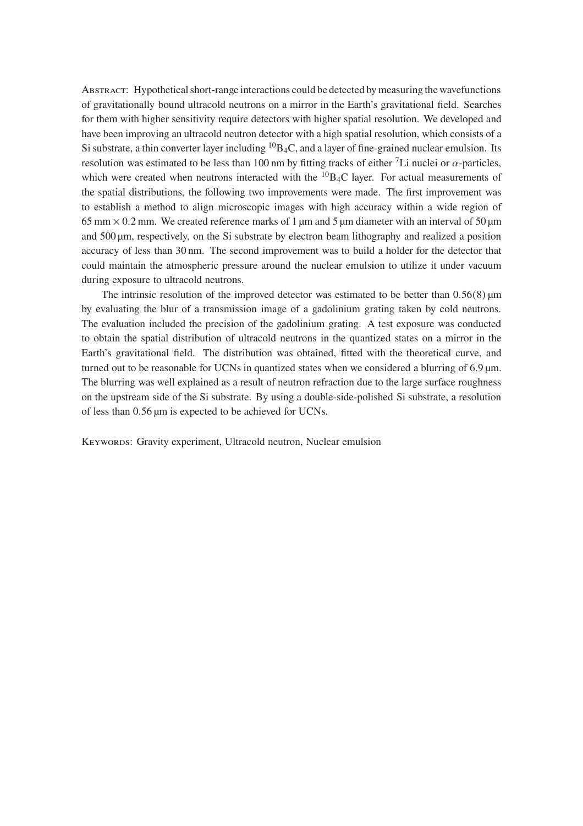Abstract: Hypothetical short-range interactions could be detected by measuring the wavefunctions of gravitationally bound ultracold neutrons on a mirror in the Earth's gravitational field. Searches for them with higher sensitivity require detectors with higher spatial resolution. We developed and have been improving an ultracold neutron detector with a high spatial resolution, which consists of a Si substrate, a thin converter layer including  ${}^{10}B_4C$ , and a layer of fine-grained nuclear emulsion. Its resolution was estimated to be less than 100 nm by fitting tracks of either <sup>7</sup>Li nuclei or  $\alpha$ -particles, which were created when neutrons interacted with the  ${}^{10}$ B<sub>4</sub>C layer. For actual measurements of the spatial distributions, the following two improvements were made. The first improvement was to establish a method to align microscopic images with high accuracy within a wide region of 65 mm  $\times$  0.2 mm. We created reference marks of 1 µm and 5 µm diameter with an interval of 50 µm and 500 µm, respectively, on the Si substrate by electron beam lithography and realized a position accuracy of less than 30 nm. The second improvement was to build a holder for the detector that could maintain the atmospheric pressure around the nuclear emulsion to utilize it under vacuum during exposure to ultracold neutrons.

The intrinsic resolution of the improved detector was estimated to be better than  $0.56(8)$  µm by evaluating the blur of a transmission image of a gadolinium grating taken by cold neutrons. The evaluation included the precision of the gadolinium grating. A test exposure was conducted to obtain the spatial distribution of ultracold neutrons in the quantized states on a mirror in the Earth's gravitational field. The distribution was obtained, fitted with the theoretical curve, and turned out to be reasonable for UCNs in quantized states when we considered a blurring of  $6.9 \,\mathrm{\upmu m}$ . The blurring was well explained as a result of neutron refraction due to the large surface roughness on the upstream side of the Si substrate. By using a double-side-polished Si substrate, a resolution of less than 0.56 µm is expected to be achieved for UCNs.

KEYWORDS: Gravity experiment, Ultracold neutron, Nuclear emulsion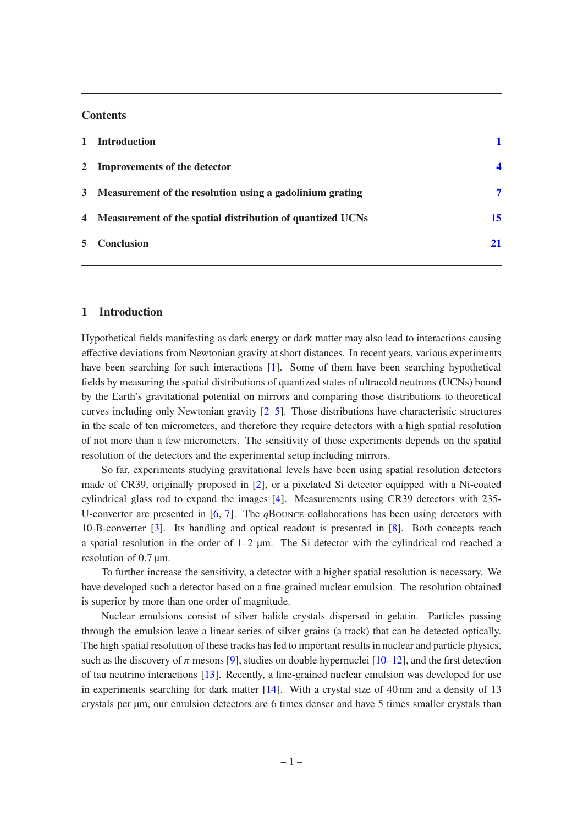#### **Contents**

| 1 Introduction                                              |                  |
|-------------------------------------------------------------|------------------|
| 2 Improvements of the detector                              | $\boldsymbol{4}$ |
| 3 Measurement of the resolution using a gadolinium grating  | 7                |
| 4 Measurement of the spatial distribution of quantized UCNs | 15               |
| 5 Conclusion                                                | 21               |

## <span id="page-2-0"></span>**1 Introduction**

Hypothetical fields manifesting as dark energy or dark matter may also lead to interactions causing effective deviations from Newtonian gravity at short distances. In recent years, various experiments have been searching for such interactions [\[1\]](#page-23-0). Some of them have been searching hypothetical fields by measuring the spatial distributions of quantized states of ultracold neutrons (UCNs) bound by the Earth's gravitational potential on mirrors and comparing those distributions to theoretical curves including only Newtonian gravity  $[2-5]$  $[2-5]$ . Those distributions have characteristic structures in the scale of ten micrometers, and therefore they require detectors with a high spatial resolution of not more than a few micrometers. The sensitivity of those experiments depends on the spatial resolution of the detectors and the experimental setup including mirrors.

So far, experiments studying gravitational levels have been using spatial resolution detectors made of CR39, originally proposed in [\[2\]](#page-23-1), or a pixelated Si detector equipped with a Ni-coated cylindrical glass rod to expand the images [\[4\]](#page-23-3). Measurements using CR39 detectors with 235- U-converter are presented in [\[6](#page-23-4), [7](#page-23-5)]. The *q*Bounce collaborations has been using detectors with 10-B-converter [\[3\]](#page-23-6). Its handling and optical readout is presented in [\[8\]](#page-23-7). Both concepts reach a spatial resolution in the order of  $1-2$  µm. The Si detector with the cylindrical rod reached a resolution of 0.7  $\mu$ m.

To further increase the sensitivity, a detector with a higher spatial resolution is necessary. We have developed such a detector based on a fine-grained nuclear emulsion. The resolution obtained is superior by more than one order of magnitude.

Nuclear emulsions consist of silver halide crystals dispersed in gelatin. Particles passing through the emulsion leave a linear series of silver grains (a track) that can be detected optically. The high spatial resolution of these tracks has led to important results in nuclear and particle physics, such as the discovery of  $\pi$  mesons [\[9](#page-24-0)], studies on double hypernuclei [\[10](#page-24-1)[–12\]](#page-24-2), and the first detection of tau neutrino interactions [\[13](#page-24-3)]. Recently, a fine-grained nuclear emulsion was developed for use in experiments searching for dark matter [\[14](#page-24-4)]. With a crystal size of 40 nm and a density of 13 crystals per µm, our emulsion detectors are 6 times denser and have 5 times smaller crystals than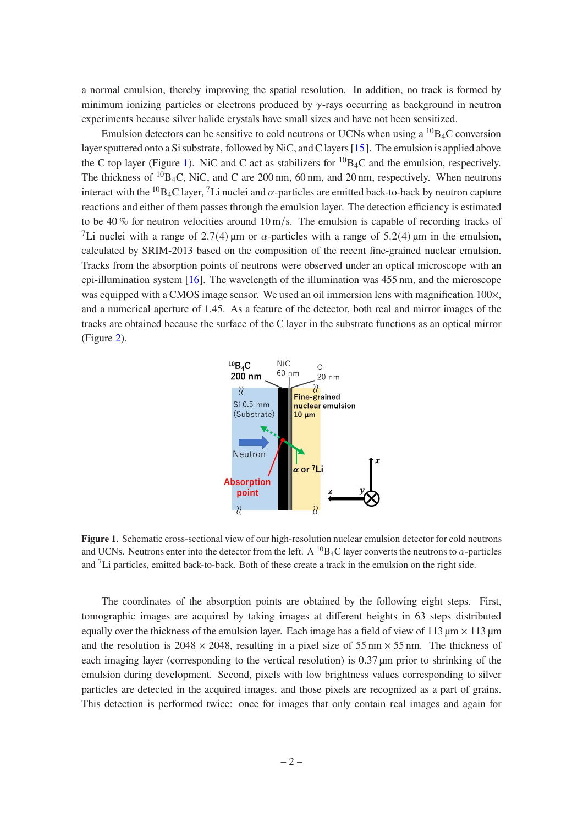a normal emulsion, thereby improving the spatial resolution. In addition, no track is formed by minimum ionizing particles or electrons produced by  $\gamma$ -rays occurring as background in neutron experiments because silver halide crystals have small sizes and have not been sensitized.

Emulsion detectors can be sensitive to cold neutrons or UCNs when using a  ${}^{10}B_4C$  conversion layer sputtered onto a Si substrate, followed by NiC, and C layers [\[15](#page-24-5)]. The emulsion is applied above the C top layer (Figure [1\)](#page-3-0). NiC and C act as stabilizers for  ${}^{10}B_4C$  and the emulsion, respectively. The thickness of  ${}^{10}B_4C$ , NiC, and C are 200 nm, 60 nm, and 20 nm, respectively. When neutrons interact with the <sup>10</sup>B<sub>4</sub>C layer, <sup>7</sup>Li nuclei and  $\alpha$ -particles are emitted back-to-back by neutron capture reactions and either of them passes through the emulsion layer. The detection efficiency is estimated to be 40 % for neutron velocities around  $10 \text{ m/s}$ . The emulsion is capable of recording tracks of <sup>7</sup>Li nuclei with a range of 2.7(4) µm or  $\alpha$ -particles with a range of 5.2(4) µm in the emulsion, calculated by SRIM-2013 based on the composition of the recent fine-grained nuclear emulsion. Tracks from the absorption points of neutrons were observed under an optical microscope with an epi-illumination system [\[16](#page-24-6)]. The wavelength of the illumination was 455 nm, and the microscope was equipped with a CMOS image sensor. We used an oil immersion lens with magnification  $100 \times$ , and a numerical aperture of 1.45. As a feature of the detector, both real and mirror images of the tracks are obtained because the surface of the C layer in the substrate functions as an optical mirror (Figure [2\)](#page-4-0).



<span id="page-3-0"></span>**Figure 1**. Schematic cross-sectional view of our high-resolution nuclear emulsion detector for cold neutrons and UCNs. Neutrons enter into the detector from the left. A <sup>10</sup>B<sub>4</sub>C layer converts the neutrons to  $\alpha$ -particles and <sup>7</sup>Li particles, emitted back-to-back. Both of these create a track in the emulsion on the right side.

The coordinates of the absorption points are obtained by the following eight steps. First, tomographic images are acquired by taking images at different heights in 63 steps distributed equally over the thickness of the emulsion layer. Each image has a field of view of 113  $\mu$ m  $\times$  113  $\mu$ m and the resolution is  $2048 \times 2048$ , resulting in a pixel size of 55 nm  $\times$  55 nm. The thickness of each imaging layer (corresponding to the vertical resolution) is  $0.37 \mu m$  prior to shrinking of the emulsion during development. Second, pixels with low brightness values corresponding to silver particles are detected in the acquired images, and those pixels are recognized as a part of grains. This detection is performed twice: once for images that only contain real images and again for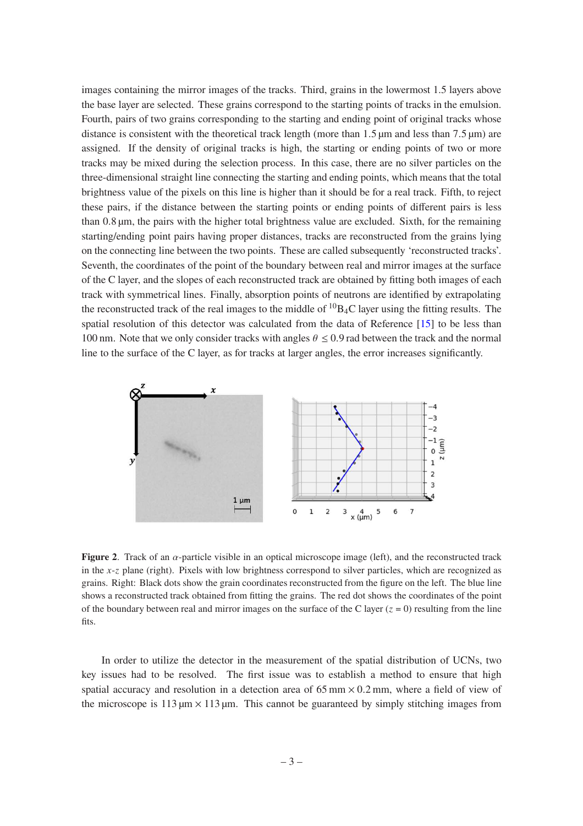images containing the mirror images of the tracks. Third, grains in the lowermost 1.5 layers above the base layer are selected. These grains correspond to the starting points of tracks in the emulsion. Fourth, pairs of two grains corresponding to the starting and ending point of original tracks whose distance is consistent with the theoretical track length (more than  $1.5 \mu m$  and less than  $7.5 \mu m$ ) are assigned. If the density of original tracks is high, the starting or ending points of two or more tracks may be mixed during the selection process. In this case, there are no silver particles on the three-dimensional straight line connecting the starting and ending points, which means that the total brightness value of the pixels on this line is higher than it should be for a real track. Fifth, to reject these pairs, if the distance between the starting points or ending points of different pairs is less than 0.8 µm, the pairs with the higher total brightness value are excluded. Sixth, for the remaining starting/ending point pairs having proper distances, tracks are reconstructed from the grains lying on the connecting line between the two points. These are called subsequently 'reconstructed tracks'. Seventh, the coordinates of the point of the boundary between real and mirror images at the surface of the C layer, and the slopes of each reconstructed track are obtained by fitting both images of each track with symmetrical lines. Finally, absorption points of neutrons are identified by extrapolating the reconstructed track of the real images to the middle of  ${}^{10}B_4C$  layer using the fitting results. The spatial resolution of this detector was calculated from the data of Reference [\[15\]](#page-24-5) to be less than 100 nm. Note that we only consider tracks with angles  $\theta \le 0.9$  rad between the track and the normal line to the surface of the C layer, as for tracks at larger angles, the error increases significantly.



<span id="page-4-0"></span>**Figure 2.** Track of an  $\alpha$ -particle visible in an optical microscope image (left), and the reconstructed track in the  $x-z$  plane (right). Pixels with low brightness correspond to silver particles, which are recognized as grains. Right: Black dots show the grain coordinates reconstructed from the figure on the left. The blue line shows a reconstructed track obtained from fitting the grains. The red dot shows the coordinates of the point of the boundary between real and mirror images on the surface of the C layer ( $z = 0$ ) resulting from the line fits.

In order to utilize the detector in the measurement of the spatial distribution of UCNs, two key issues had to be resolved. The first issue was to establish a method to ensure that high spatial accuracy and resolution in a detection area of  $65 \text{ mm} \times 0.2 \text{ mm}$ , where a field of view of the microscope is 113  $\mu$ m  $\times$  113  $\mu$ m. This cannot be guaranteed by simply stitching images from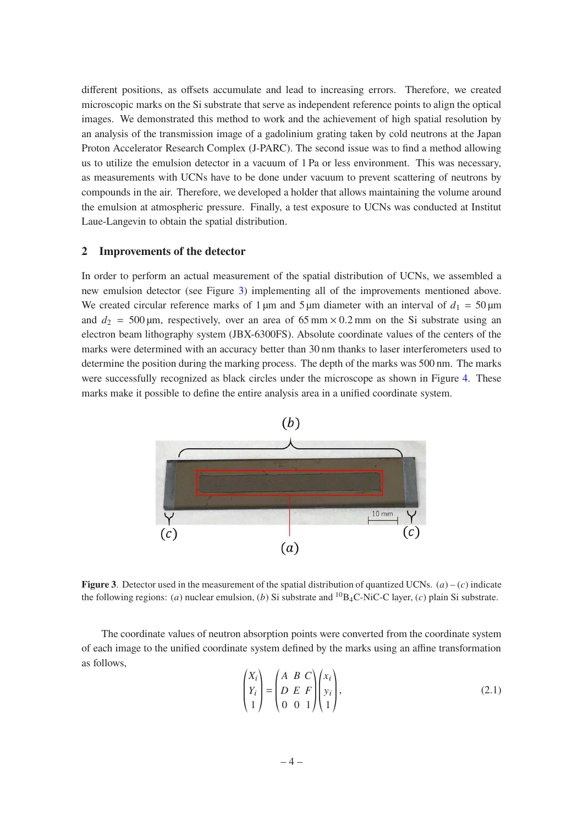different positions, as offsets accumulate and lead to increasing errors. Therefore, we created microscopic marks on the Si substrate that serve as independent reference points to align the optical images. We demonstrated this method to work and the achievement of high spatial resolution by an analysis of the transmission image of a gadolinium grating taken by cold neutrons at the Japan Proton Accelerator Research Complex (J-PARC). The second issue was to find a method allowing us to utilize the emulsion detector in a vacuum of 1 Pa or less environment. This was necessary, as measurements with UCNs have to be done under vacuum to prevent scattering of neutrons by compounds in the air. Therefore, we developed a holder that allows maintaining the volume around the emulsion at atmospheric pressure. Finally, a test exposure to UCNs was conducted at Institut Laue-Langevin to obtain the spatial distribution.

### <span id="page-5-0"></span>**2 Improvements of the detector**

In order to perform an actual measurement of the spatial distribution of UCNs, we assembled a new emulsion detector (see Figure [3\)](#page-5-1) implementing all of the improvements mentioned above. We created circular reference marks of 1  $\mu$ m and 5  $\mu$ m diameter with an interval of  $d_1 = 50 \mu$ m and  $d_2 = 500 \,\text{\mu m}$ , respectively, over an area of 65 mm × 0.2 mm on the Si substrate using an electron beam lithography system (JBX-6300FS). Absolute coordinate values of the centers of the marks were determined with an accuracy better than 30 nm thanks to laser interferometers used to determine the position during the marking process. The depth of the marks was 500 nm. The marks were successfully recognized as black circles under the microscope as shown in Figure [4.](#page-6-0) These marks make it possible to define the entire analysis area in a unified coordinate system.



<span id="page-5-1"></span>**Figure 3**. Detector used in the measurement of the spatial distribution of quantized UCNs.  $(a) - (c)$  indicate the following regions: (*a*) nuclear emulsion, (*b*) Si substrate and <sup>10</sup>B<sub>4</sub>C-NiC-C layer, (*c*) plain Si substrate.

The coordinate values of neutron absorption points were converted from the coordinate system of each image to the unified coordinate system defined by the marks using an affine transformation as follows,

<span id="page-5-2"></span>
$$
\begin{pmatrix} X_i \\ Y_i \\ 1 \end{pmatrix} = \begin{pmatrix} A & B & C \\ D & E & F \\ 0 & 0 & 1 \end{pmatrix} \begin{pmatrix} x_i \\ y_i \\ 1 \end{pmatrix},\tag{2.1}
$$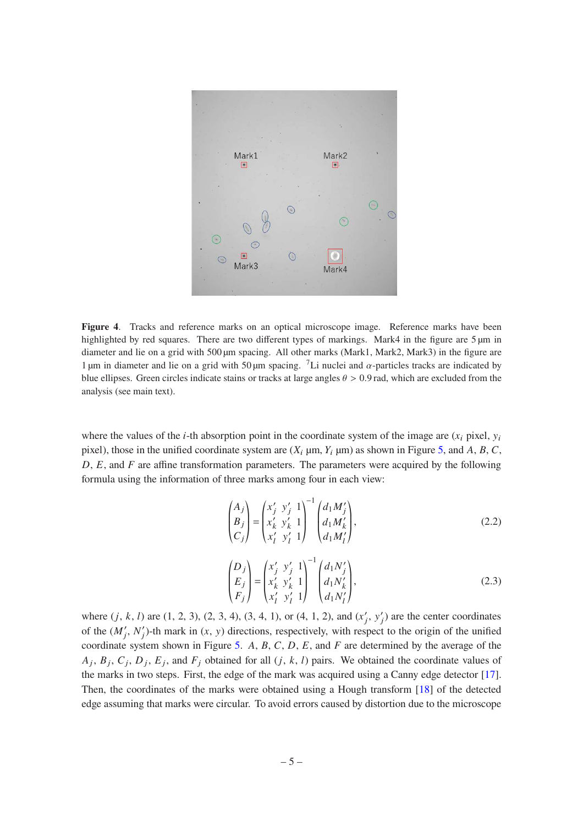

**Figure 4**. Tracks and reference marks on an optical microscope image. Reference marks have been highlighted by red squares. There are two different types of markings. Mark4 in the figure are 5  $\mu$ m in diameter and lie on a grid with 500 µm spacing. All other marks (Mark1, Mark2, Mark3) in the figure are 1 µm in diameter and lie on a grid with 50 µm spacing. <sup>7</sup>Li nuclei and  $\alpha$ -particles tracks are indicated by blue ellipses. Green circles indicate stains or tracks at large angles  $\theta > 0.9$  rad, which are excluded from the analysis (see main text).

<span id="page-6-0"></span>where the values of the *i*-th absorption point in the coordinate system of the image are  $(x_i$  pixel,  $y_i$ pixel), those in the unified coordinate system are  $(X_i \mu m, Y_i \mu m)$  as shown in Figure [5,](#page-7-0) and A, B, C,  $D, E$ , and  $F$  are affine transformation parameters. The parameters were acquired by the following formula using the information of three marks among four in each view:

$$
\begin{pmatrix} A_j \\ B_j \\ C_j \end{pmatrix} = \begin{pmatrix} x'_j & y'_j & 1 \\ x'_k & y'_k & 1 \\ x'_l & y'_l & 1 \end{pmatrix}^{-1} \begin{pmatrix} d_1 M'_j \\ d_1 M'_k \\ d_1 M'_l \end{pmatrix},
$$
\n(2.2)

$$
\begin{pmatrix} D_j \\ E_j \\ F_j \end{pmatrix} = \begin{pmatrix} x'_j & y'_j & 1 \\ x'_k & y'_k & 1 \\ x'_l & y'_l & 1 \end{pmatrix}^{-1} \begin{pmatrix} d_1 N'_j \\ d_1 N'_k \\ d_1 N'_l \end{pmatrix},
$$
\n(2.3)

where  $(j, k, l)$  are  $(1, 2, 3), (2, 3, 4), (3, 4, 1),$  or  $(4, 1, 2),$  and  $(x'_j, y'_j)$  are the center coordinates of the  $(M'_j, N'_j)$ -th mark in  $(x, y)$  directions, respectively, with respect to the origin of the unified coordinate system shown in Figure [5.](#page-7-0) A, B, C, D, E, and F are determined by the average of the  $A_j$ ,  $B_j$ ,  $C_j$ ,  $D_j$ ,  $E_j$ , and  $F_j$  obtained for all  $(j, k, l)$  pairs. We obtained the coordinate values of the marks in two steps. First, the edge of the mark was acquired using a Canny edge detector [\[17](#page-24-7)]. Then, the coordinates of the marks were obtained using a Hough transform [\[18](#page-24-8)] of the detected edge assuming that marks were circular. To avoid errors caused by distortion due to the microscope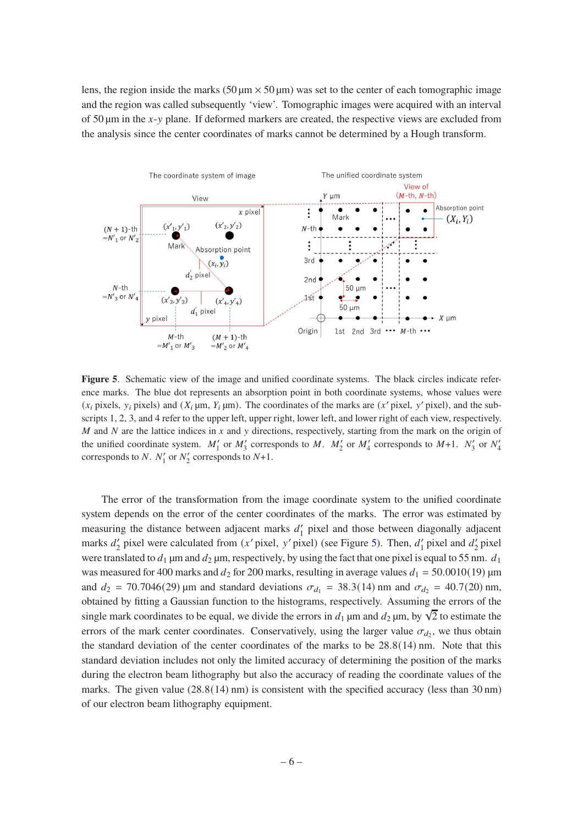lens, the region inside the marks (50  $\mu$ m × 50  $\mu$ m) was set to the center of each tomographic image and the region was called subsequently 'view'. Tomographic images were acquired with an interval of 50  $\mu$ m in the x-y plane. If deformed markers are created, the respective views are excluded from the analysis since the center coordinates of marks cannot be determined by a Hough transform.



<span id="page-7-0"></span>Figure 5. Schematic view of the image and unified coordinate systems. The black circles indicate reference marks. The blue dot represents an absorption point in both coordinate systems, whose values were  $(x_i$  pixels,  $y_i$  pixels) and  $(X_i \mu m, Y_i \mu m)$ . The coordinates of the marks are  $(x'$  pixel,  $y'$  pixel), and the subscripts 1, 2, 3, and 4 refer to the upper left, upper right, lower left, and lower right of each view, respectively.  $M$  and  $N$  are the lattice indices in  $x$  and  $y$  directions, respectively, starting from the mark on the origin of the unified coordinate system.  $M'_1$  or  $M'_3$  corresponds to M.  $M'_2$  or  $M'_4$  corresponds to M+1.  $N'_3$  or  $N'_4$ corresponds to N.  $N'_1$  or  $N'_2$  corresponds to  $N+1$ .

The error of the transformation from the image coordinate system to the unified coordinate system depends on the error of the center coordinates of the marks. The error was estimated by measuring the distance between adjacent marks  $d_1$  pixel and those between diagonally adjacent marks  $d'_2$  pixel were calculated from  $(x'$  pixel, y' pixel) (see Figure [5\)](#page-7-0). Then,  $d'_1$  pixel and  $d'_2$  pixel were translated to  $d_1$  µm and  $d_2$  µm, respectively, by using the fact that one pixel is equal to 55 nm.  $d_1$ was measured for 400 marks and  $d_2$  for 200 marks, resulting in average values  $d_1 = 50.0010(19)$  µm and  $d_2 = 70.7046(29)$  µm and standard deviations  $\sigma_{d_1} = 38.3(14)$  nm and  $\sigma_{d_2} = 40.7(20)$  nm, obtained by fitting a Gaussian function to the histograms, respectively. Assuming the errors of the single mark coordinates to be equal, we divide the errors in  $d_1$  µm and  $d_2$  µm, by  $\sqrt{2}$  to estimate the errors of the mark center coordinates. Conservatively, using the larger value  $\sigma_{d_2}$ , we thus obtain the standard deviation of the center coordinates of the marks to be 28.8(14) nm. Note that this standard deviation includes not only the limited accuracy of determining the position of the marks during the electron beam lithography but also the accuracy of reading the coordinate values of the marks. The given value  $(28.8(14) \text{ nm})$  is consistent with the specified accuracy (less than 30 nm) of our electron beam lithography equipment.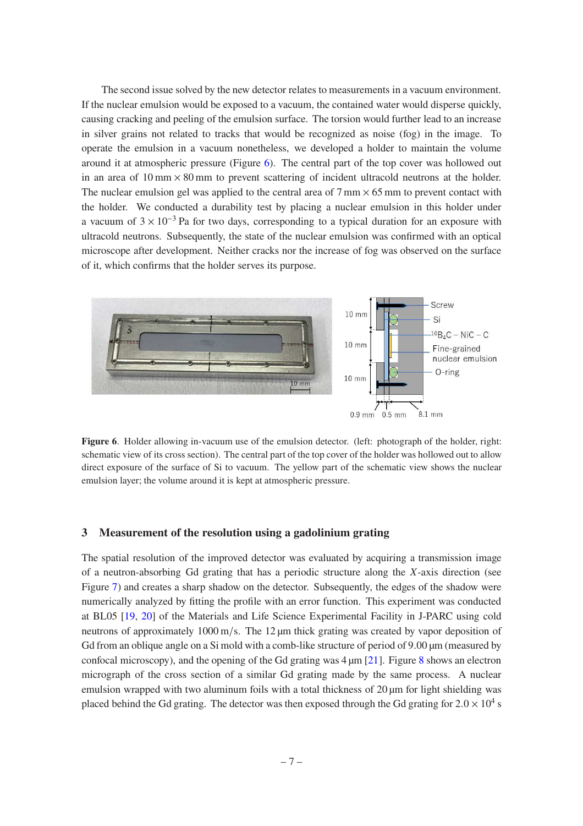The second issue solved by the new detector relates to measurements in a vacuum environment. If the nuclear emulsion would be exposed to a vacuum, the contained water would disperse quickly, causing cracking and peeling of the emulsion surface. The torsion would further lead to an increase in silver grains not related to tracks that would be recognized as noise (fog) in the image. To operate the emulsion in a vacuum nonetheless, we developed a holder to maintain the volume around it at atmospheric pressure (Figure [6\)](#page-8-1). The central part of the top cover was hollowed out in an area of  $10 \text{ mm} \times 80 \text{ mm}$  to prevent scattering of incident ultracold neutrons at the holder. The nuclear emulsion gel was applied to the central area of  $7 \text{ mm} \times 65 \text{ mm}$  to prevent contact with the holder. We conducted a durability test by placing a nuclear emulsion in this holder under a vacuum of  $3 \times 10^{-3}$  Pa for two days, corresponding to a typical duration for an exposure with ultracold neutrons. Subsequently, the state of the nuclear emulsion was confirmed with an optical microscope after development. Neither cracks nor the increase of fog was observed on the surface of it, which confirms that the holder serves its purpose.



<span id="page-8-1"></span>**Figure 6**. Holder allowing in-vacuum use of the emulsion detector. (left: photograph of the holder, right: schematic view of its cross section). The central part of the top cover of the holder was hollowed out to allow direct exposure of the surface of Si to vacuum. The yellow part of the schematic view shows the nuclear emulsion layer; the volume around it is kept at atmospheric pressure.

#### <span id="page-8-0"></span>**3 Measurement of the resolution using a gadolinium grating**

The spatial resolution of the improved detector was evaluated by acquiring a transmission image of a neutron-absorbing Gd grating that has a periodic structure along the  $X$ -axis direction (see Figure [7\)](#page-9-0) and creates a sharp shadow on the detector. Subsequently, the edges of the shadow were numerically analyzed by fitting the profile with an error function. This experiment was conducted at BL05 [\[19,](#page-24-9) [20](#page-24-10)] of the Materials and Life Science Experimental Facility in J-PARC using cold neutrons of approximately 1000 m/s. The 12  $\mu$ m thick grating was created by vapor deposition of Gd from an oblique angle on a Si mold with a comb-like structure of period of 9.00  $\mu$ m (measured by confocal microscopy), and the opening of the Gd grating was  $4 \mu m$  [\[21](#page-24-11)]. Figure [8](#page-10-0) shows an electron micrograph of the cross section of a similar Gd grating made by the same process. A nuclear emulsion wrapped with two aluminum foils with a total thickness of 20  $\mu$ m for light shielding was placed behind the Gd grating. The detector was then exposed through the Gd grating for  $2.0 \times 10^4$  s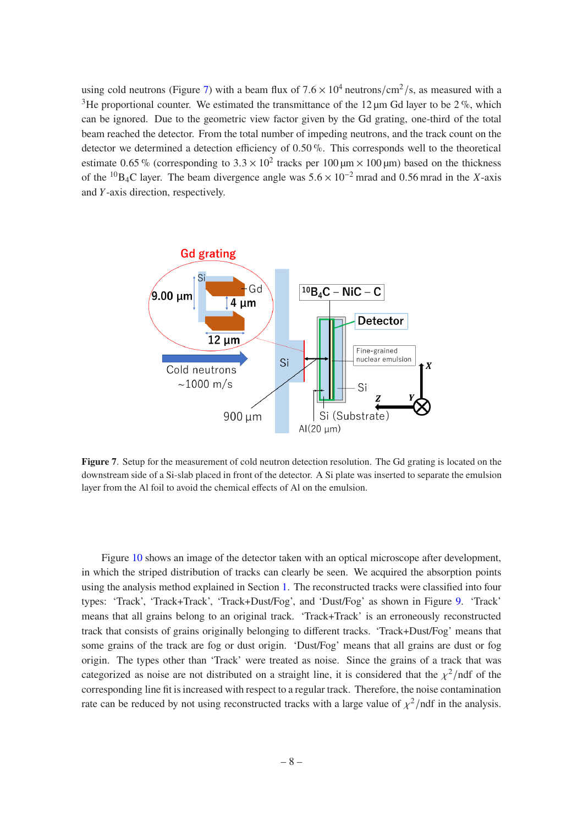using cold neutrons (Figure [7\)](#page-9-0) with a beam flux of  $7.6 \times 10^4$  neutrons/cm<sup>2</sup>/s, as measured with a <sup>3</sup>He proportional counter. We estimated the transmittance of the 12  $\mu$ m Gd layer to be 2%, which can be ignored. Due to the geometric view factor given by the Gd grating, one-third of the total beam reached the detector. From the total number of impeding neutrons, and the track count on the detector we determined a detection efficiency of 0.50 %. This corresponds well to the theoretical estimate 0.65 % (corresponding to  $3.3 \times 10^2$  tracks per 100  $\mu$ m × 100  $\mu$ m) based on the thickness of the <sup>10</sup>B<sub>4</sub>C layer. The beam divergence angle was  $5.6 \times 10^{-2}$  mrad and 0.56 mrad in the X-axis and  $Y$ -axis direction, respectively.



<span id="page-9-0"></span>**Figure 7**. Setup for the measurement of cold neutron detection resolution. The Gd grating is located on the downstream side of a Si-slab placed in front of the detector. A Si plate was inserted to separate the emulsion layer from the Al foil to avoid the chemical effects of Al on the emulsion.

Figure [10](#page-12-0) shows an image of the detector taken with an optical microscope after development, in which the striped distribution of tracks can clearly be seen. We acquired the absorption points using the analysis method explained in Section [1.](#page-2-0) The reconstructed tracks were classified into four types: 'Track', 'Track+Track', 'Track+Dust/Fog', and 'Dust/Fog' as shown in Figure [9.](#page-11-0) 'Track' means that all grains belong to an original track. 'Track+Track' is an erroneously reconstructed track that consists of grains originally belonging to different tracks. 'Track+Dust/Fog' means that some grains of the track are fog or dust origin. 'Dust/Fog' means that all grains are dust or fog origin. The types other than 'Track' were treated as noise. Since the grains of a track that was categorized as noise are not distributed on a straight line, it is considered that the  $\chi^2$ /ndf of the corresponding line fit is increased with respect to a regular track. Therefore, the noise contamination rate can be reduced by not using reconstructed tracks with a large value of  $\chi^2$ /ndf in the analysis.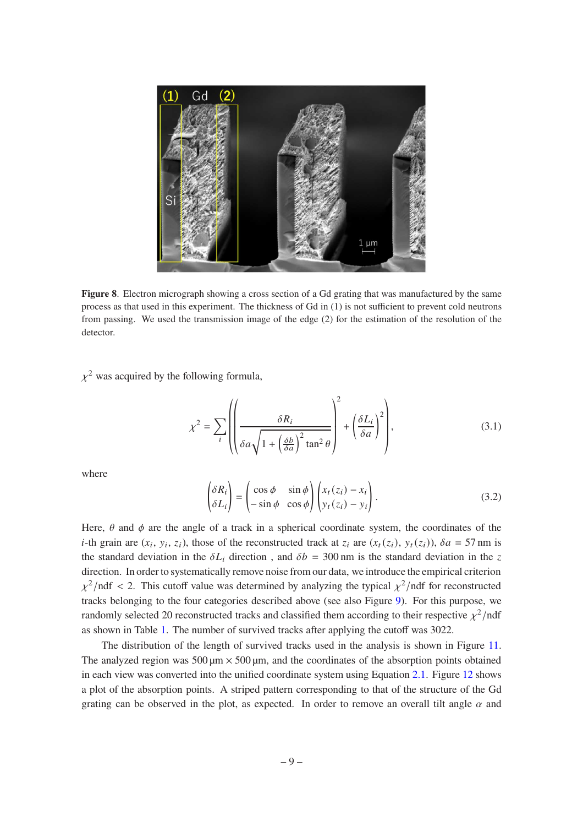

<span id="page-10-0"></span>**Figure 8**. Electron micrograph showing a cross section of a Gd grating that was manufactured by the same process as that used in this experiment. The thickness of Gd in (1) is not sufficient to prevent cold neutrons from passing. We used the transmission image of the edge (2) for the estimation of the resolution of the detector.

 $\chi^2$  was acquired by the following formula,

$$
\chi^2 = \sum_{i} \left( \left( \frac{\delta R_i}{\delta a \sqrt{1 + \left( \frac{\delta b}{\delta a} \right)^2 \tan^2 \theta}} \right)^2 + \left( \frac{\delta L_i}{\delta a} \right)^2 \right),\tag{3.1}
$$

where

$$
\begin{pmatrix} \delta R_i \\ \delta L_i \end{pmatrix} = \begin{pmatrix} \cos \phi & \sin \phi \\ -\sin \phi & \cos \phi \end{pmatrix} \begin{pmatrix} x_t (z_i) - x_i \\ y_t (z_i) - y_i \end{pmatrix}.
$$
 (3.2)

Here,  $\theta$  and  $\phi$  are the angle of a track in a spherical coordinate system, the coordinates of the *i*-th grain are  $(x_i, y_i, z_i)$ , those of the reconstructed track at  $z_i$  are  $(x_t(z_i), y_t(z_i))$ ,  $\delta a = 57$  nm is the standard deviation in the  $\delta L_i$  direction, and  $\delta b = 300$  nm is the standard deviation in the z direction. In order to systematically remove noise from our data, we introduce the empirical criterion  $\chi^2$ /ndf < 2. This cutoff value was determined by analyzing the typical  $\chi^2$ /ndf for reconstructed tracks belonging to the four categories described above (see also Figure [9\)](#page-11-0). For this purpose, we randomly selected 20 reconstructed tracks and classified them according to their respective  $\chi^2$ /ndf as shown in Table [1.](#page-11-1) The number of survived tracks after applying the cutoff was 3022.

The distribution of the length of survived tracks used in the analysis is shown in Figure [11.](#page-13-0) The analyzed region was 500  $\mu$ m  $\times$  500  $\mu$ m, and the coordinates of the absorption points obtained in each view was converted into the unified coordinate system using Equation [2.1.](#page-5-2) Figure [12](#page-14-0) shows a plot of the absorption points. A striped pattern corresponding to that of the structure of the Gd grating can be observed in the plot, as expected. In order to remove an overall tilt angle  $\alpha$  and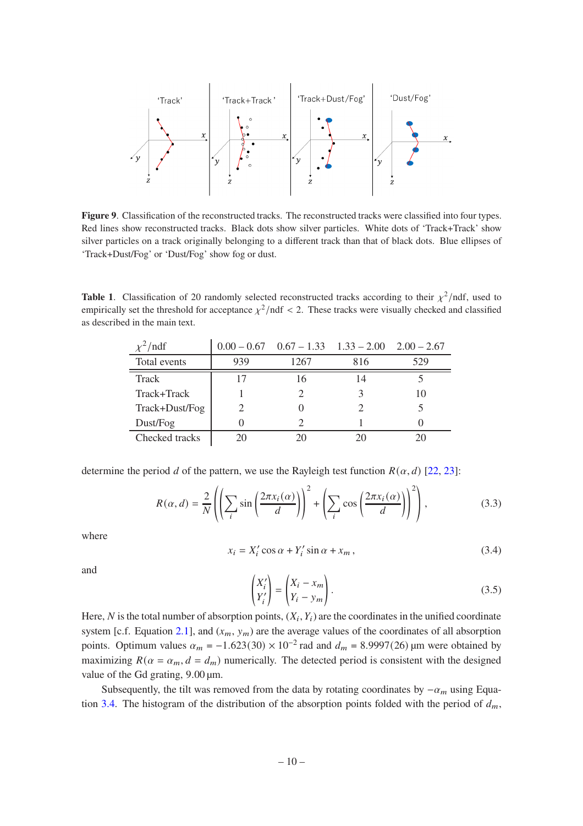

<span id="page-11-0"></span>**Figure 9**. Classification of the reconstructed tracks. The reconstructed tracks were classified into four types. Red lines show reconstructed tracks. Black dots show silver particles. White dots of 'Track+Track' show silver particles on a track originally belonging to a different track than that of black dots. Blue ellipses of 'Track+Dust/Fog' or 'Dust/Fog' show fog or dust.

**Table 1.** Classification of 20 randomly selected reconstructed tracks according to their  $\chi^2$ /ndf, used to empirically set the threshold for acceptance  $\chi^2$ /ndf < 2. These tracks were visually checked and classified as described in the main text.

<span id="page-11-1"></span>

| $\chi^2$ /ndf  |     | $0.00 - 0.67$ $0.67 - 1.33$ $1.33 - 2.00$ $2.00 - 2.67$ |     |     |
|----------------|-----|---------------------------------------------------------|-----|-----|
| Total events   | 939 | 1267                                                    | 816 | 529 |
| <b>Track</b>   | 17  | 16                                                      | 14  |     |
| Track+Track    |     |                                                         |     | 10  |
| Track+Dust/Fog |     |                                                         |     |     |
| Dust/Fog       |     |                                                         |     |     |
| Checked tracks | 20  | 20                                                      |     |     |

determine the period d of the pattern, we use the Rayleigh test function  $R(\alpha, d)$  [\[22](#page-24-12), [23](#page-24-13)]:

$$
R(\alpha, d) = \frac{2}{N} \left( \left( \sum_{i} \sin \left( \frac{2\pi x_i(\alpha)}{d} \right) \right)^2 + \left( \sum_{i} \cos \left( \frac{2\pi x_i(\alpha)}{d} \right) \right)^2 \right),\tag{3.3}
$$

where

<span id="page-11-2"></span>
$$
x_i = X'_i \cos \alpha + Y'_i \sin \alpha + x_m, \qquad (3.4)
$$

and

$$
\begin{pmatrix} X_i' \\ Y_i' \end{pmatrix} = \begin{pmatrix} X_i - x_m \\ Y_i - y_m \end{pmatrix}.
$$
\n(3.5)

Here, N is the total number of absorption points,  $(X_i, Y_i)$  are the coordinates in the unified coordinate system [c.f. Equation [2.1\]](#page-5-2), and  $(x_m, y_m)$  are the average values of the coordinates of all absorption points. Optimum values  $\alpha_m = -1.623(30) \times 10^{-2}$  rad and  $d_m = 8.9997(26)$  µm were obtained by maximizing  $R(\alpha = \alpha_m, d = d_m)$  numerically. The detected period is consistent with the designed value of the Gd grating, 9.00 µm.

Subsequently, the tilt was removed from the data by rotating coordinates by  $-\alpha_m$  using Equa-tion [3.4.](#page-11-2) The histogram of the distribution of the absorption points folded with the period of  $d_m$ ,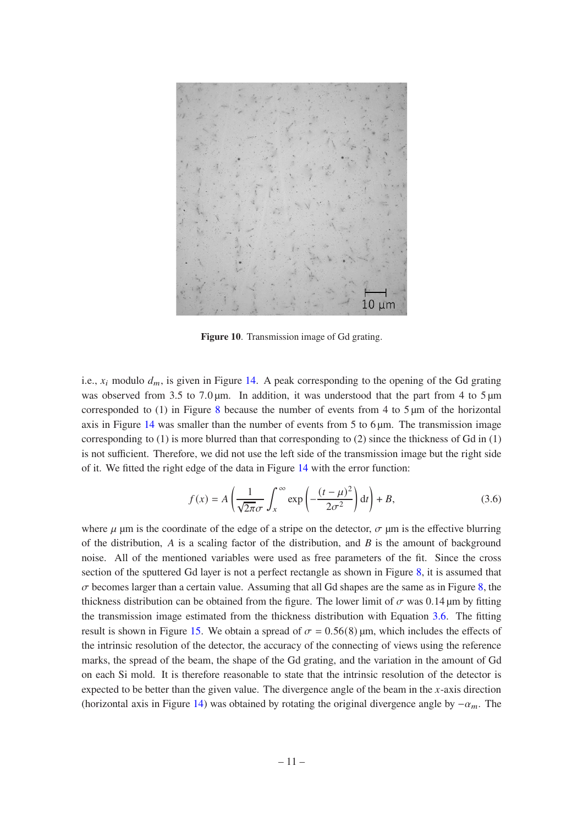

**Figure 10**. Transmission image of Gd grating.

i.e.,  $x_i$  modulo  $d_m$ , is given in Figure [14.](#page-15-0) A peak corresponding to the opening of the Gd grating was observed from 3.5 to 7.0  $\mu$ m. In addition, it was understood that the part from 4 to 5  $\mu$ m corresponded to (1) in Figure [8](#page-10-0) because the number of events from 4 to  $5 \mu m$  of the horizontal axis in Figure [14](#page-15-0) was smaller than the number of events from 5 to 6  $\mu$ m. The transmission image corresponding to  $(1)$  is more blurred than that corresponding to  $(2)$  since the thickness of Gd in  $(1)$ is not sufficient. Therefore, we did not use the left side of the transmission image but the right side of it. We fitted the right edge of the data in Figure [14](#page-15-0) with the error function:

<span id="page-12-1"></span><span id="page-12-0"></span>
$$
f(x) = A \left( \frac{1}{\sqrt{2\pi}\sigma} \int_{x}^{\infty} \exp\left(-\frac{(t-\mu)^2}{2\sigma^2}\right) dt \right) + B,\tag{3.6}
$$

where  $\mu$  µm is the coordinate of the edge of a stripe on the detector,  $\sigma$  µm is the effective blurring of the distribution,  $\vec{A}$  is a scaling factor of the distribution, and  $\vec{B}$  is the amount of background noise. All of the mentioned variables were used as free parameters of the fit. Since the cross section of the sputtered Gd layer is not a perfect rectangle as shown in Figure [8,](#page-10-0) it is assumed that  $\sigma$  becomes larger than a certain value. Assuming that all Gd shapes are the same as in Figure [8,](#page-10-0) the thickness distribution can be obtained from the figure. The lower limit of  $\sigma$  was 0.14 µm by fitting the transmission image estimated from the thickness distribution with Equation [3.6.](#page-12-1) The fitting result is shown in Figure [15.](#page-15-1) We obtain a spread of  $\sigma = 0.56(8)$  µm, which includes the effects of the intrinsic resolution of the detector, the accuracy of the connecting of views using the reference marks, the spread of the beam, the shape of the Gd grating, and the variation in the amount of Gd on each Si mold. It is therefore reasonable to state that the intrinsic resolution of the detector is expected to be better than the given value. The divergence angle of the beam in the  $x$ -axis direction (horizontal axis in Figure [14\)](#page-15-0) was obtained by rotating the original divergence angle by  $-\alpha_m$ . The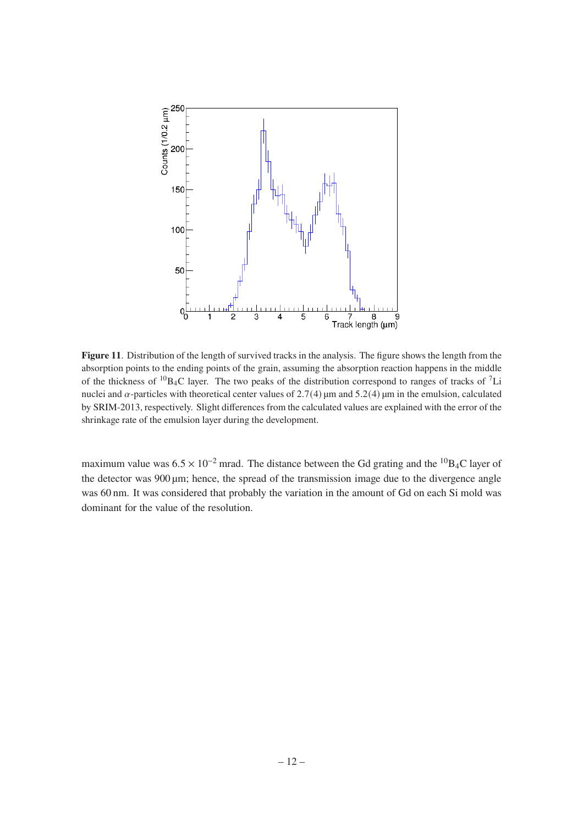

<span id="page-13-0"></span>**Figure 11**. Distribution of the length of survived tracks in the analysis. The figure shows the length from the absorption points to the ending points of the grain, assuming the absorption reaction happens in the middle of the thickness of  ${}^{10}B_4C$  layer. The two peaks of the distribution correspond to ranges of tracks of  ${}^{7}Li$ nuclei and  $\alpha$ -particles with theoretical center values of 2.7(4) µm and 5.2(4) µm in the emulsion, calculated by SRIM-2013, respectively. Slight differences from the calculated values are explained with the error of the shrinkage rate of the emulsion layer during the development.

maximum value was  $6.5 \times 10^{-2}$  mrad. The distance between the Gd grating and the <sup>10</sup>B<sub>4</sub>C layer of the detector was 900 µm; hence, the spread of the transmission image due to the divergence angle was 60 nm. It was considered that probably the variation in the amount of Gd on each Si mold was dominant for the value of the resolution.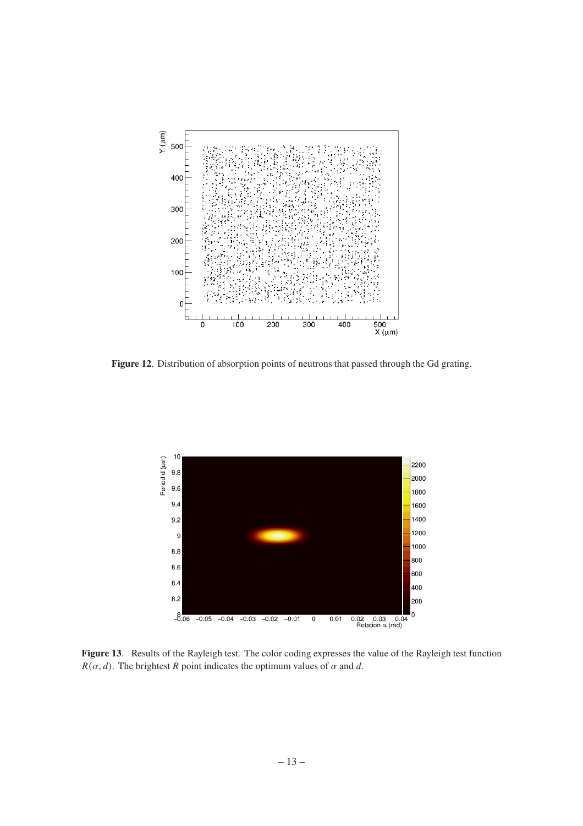

<span id="page-14-0"></span>**Figure 12**. Distribution of absorption points of neutrons that passed through the Gd grating.



**Figure 13**. Results of the Rayleigh test. The color coding expresses the value of the Rayleigh test function  $R(\alpha, d)$ . The brightest R point indicates the optimum values of  $\alpha$  and  $d$ .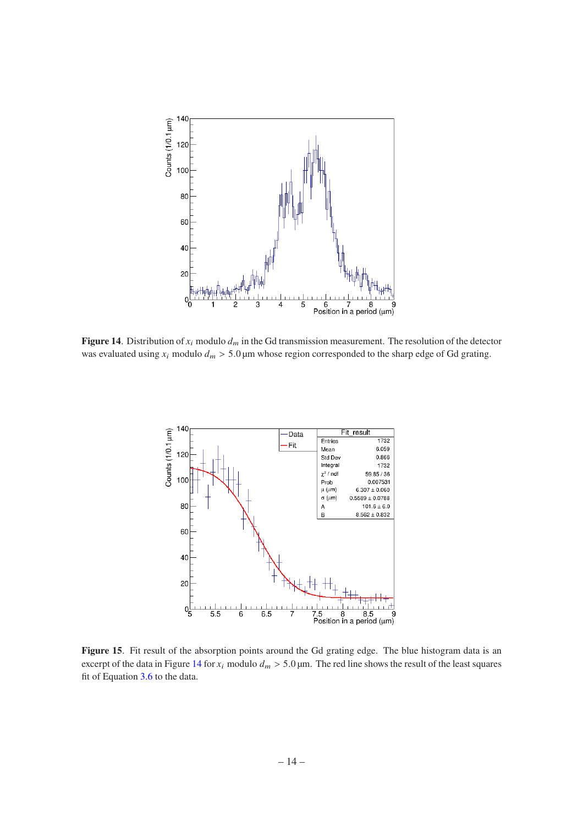

<span id="page-15-0"></span>**Figure 14**. Distribution of  $x_i$  modulo  $d_m$  in the Gd transmission measurement. The resolution of the detector was evaluated using  $x_i$  modulo  $d_m > 5.0 \mu$ m whose region corresponded to the sharp edge of Gd grating.



<span id="page-15-1"></span>Figure 15. Fit result of the absorption points around the Gd grating edge. The blue histogram data is an excerpt of the data in Figure [14](#page-15-0) for  $x_i$  modulo  $d_m > 5.0$  µm. The red line shows the result of the least squares fit of Equation [3.6](#page-12-1) to the data.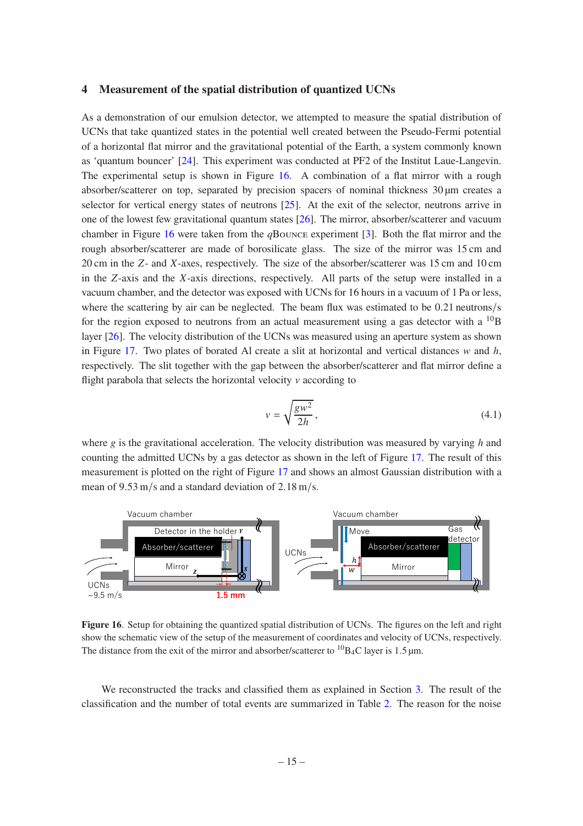#### <span id="page-16-0"></span>**4 Measurement of the spatial distribution of quantized UCNs**

As a demonstration of our emulsion detector, we attempted to measure the spatial distribution of UCNs that take quantized states in the potential well created between the Pseudo-Fermi potential of a horizontal flat mirror and the gravitational potential of the Earth, a system commonly known as 'quantum bouncer' [24]. This experiment was conducted at PF2 of the Institut Laue-Langevin. The experimental setup is shown in Figure [16.](#page-16-1) A combination of a flat mirror with a rough absorber/scatterer on top, separated by precision spacers of nominal thickness 30 µm creates a selector for vertical energy states of neutrons [25]. At the exit of the selector, neutrons arrive in one of the lowest few gravitational quantum states [\[26](#page-25-0)]. The mirror, absorber/scatterer and vacuum chamber in Figure [16](#page-16-1) were taken from the *q*Bounce experiment [\[3](#page-23-6)]. Both the flat mirror and the rough absorber/scatterer are made of borosilicate glass. The size of the mirror was 15 cm and 20 cm in the  $Z$ - and  $X$ -axes, respectively. The size of the absorber/scatterer was 15 cm and 10 cm in the  $Z$ -axis and the  $X$ -axis directions, respectively. All parts of the setup were installed in a vacuum chamber, and the detector was exposed with UCNs for 16 hours in a vacuum of 1 Pa or less, where the scattering by air can be neglected. The beam flux was estimated to be 0.21 neutrons/s for the region exposed to neutrons from an actual measurement using a gas detector with a  $^{10}B$ layer [\[26](#page-25-0)]. The velocity distribution of the UCNs was measured using an aperture system as shown in Figure [17.](#page-17-0) Two plates of borated Al create a slit at horizontal and vertical distances  $w$  and  $h$ , respectively. The slit together with the gap between the absorber/scatterer and flat mirror define a flight parabola that selects the horizontal velocity  $\nu$  according to

$$
v = \sqrt{\frac{gw^2}{2h}},\tag{4.1}
$$

where  $g$  is the gravitational acceleration. The velocity distribution was measured by varying  $h$  and counting the admitted UCNs by a gas detector as shown in the left of Figure [17.](#page-17-0) The result of this measurement is plotted on the right of Figure [17](#page-17-0) and shows an almost Gaussian distribution with a mean of 9.53 m/s and a standard deviation of 2.18 m/s.



<span id="page-16-1"></span>**Figure 16**. Setup for obtaining the quantized spatial distribution of UCNs. The figures on the left and right show the schematic view of the setup of the measurement of coordinates and velocity of UCNs, respectively. The distance from the exit of the mirror and absorber/scatterer to  ${}^{10}B_4C$  layer is 1.5 µm.

We reconstructed the tracks and classified them as explained in Section [3.](#page-8-0) The result of the classification and the number of total events are summarized in Table [2.](#page-17-1) The reason for the noise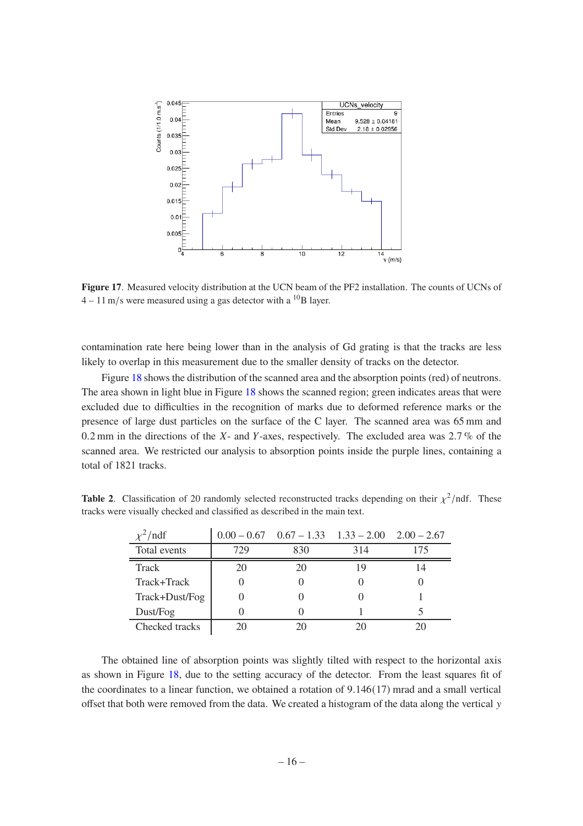

<span id="page-17-0"></span>**Figure 17**. Measured velocity distribution at the UCN beam of the PF2 installation. The counts of UCNs of  $4 - 11$  m/s were measured using a gas detector with a <sup>10</sup>B layer.

contamination rate here being lower than in the analysis of Gd grating is that the tracks are less likely to overlap in this measurement due to the smaller density of tracks on the detector.

Figure [18](#page-18-0) shows the distribution of the scanned area and the absorption points (red) of neutrons. The area shown in light blue in Figure [18](#page-18-0) shows the scanned region; green indicates areas that were excluded due to difficulties in the recognition of marks due to deformed reference marks or the presence of large dust particles on the surface of the C layer. The scanned area was 65 mm and 0.2 mm in the directions of the  $X$ - and  $Y$ -axes, respectively. The excluded area was  $2.7\%$  of the scanned area. We restricted our analysis to absorption points inside the purple lines, containing a total of 1821 tracks.

**Table 2.** Classification of 20 randomly selected reconstructed tracks depending on their  $\chi^2$ /ndf. These tracks were visually checked and classified as described in the main text.

<span id="page-17-1"></span>

| $\chi^2$ /ndf  |     | $0.00 - 0.67$ $0.67 - 1.33$ $1.33 - 2.00$ $2.00 - 2.67$ |     |     |
|----------------|-----|---------------------------------------------------------|-----|-----|
| Total events   | 729 | 830                                                     | 314 | 175 |
| <b>Track</b>   | 20  | 20                                                      | 19  | 14  |
| Track+Track    |     |                                                         |     |     |
| Track+Dust/Fog |     |                                                         |     |     |
| Dust/Fog       |     |                                                         |     |     |
| Checked tracks | 20  | 20                                                      |     |     |

The obtained line of absorption points was slightly tilted with respect to the horizontal axis as shown in Figure [18,](#page-18-0) due to the setting accuracy of the detector. From the least squares fit of the coordinates to a linear function, we obtained a rotation of 9.146(17) mrad and a small vertical offset that both were removed from the data. We created a histogram of the data along the vertical  $y$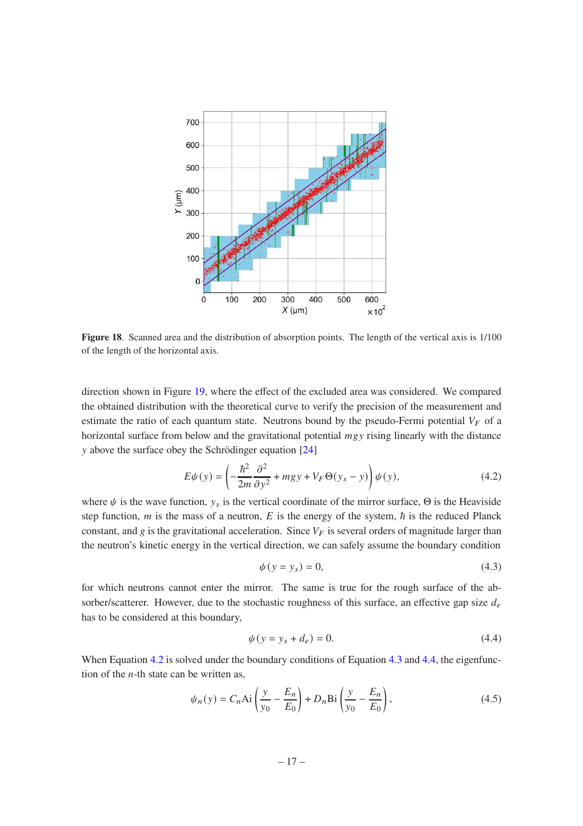

<span id="page-18-0"></span>**Figure 18**. Scanned area and the distribution of absorption points. The length of the vertical axis is 1/100 of the length of the horizontal axis.

direction shown in Figure [19,](#page-20-0) where the effect of the excluded area was considered. We compared the obtained distribution with the theoretical curve to verify the precision of the measurement and estimate the ratio of each quantum state. Neutrons bound by the pseudo-Fermi potential  $V_F$  of a horizontal surface from below and the gravitational potential  $mgy$  rising linearly with the distance y above the surface obey the Schrödinger equation [24]

<span id="page-18-1"></span>
$$
E\psi(y) = \left(-\frac{\hbar^2}{2m}\frac{\partial^2}{\partial y^2} + mgy + V_F\Theta(y_s - y)\right)\psi(y),\tag{4.2}
$$

where  $\psi$  is the wave function,  $y_s$  is the vertical coordinate of the mirror surface,  $\Theta$  is the Heaviside step function,  $m$  is the mass of a neutron,  $E$  is the energy of the system,  $\hbar$  is the reduced Planck constant, and g is the gravitational acceleration. Since  $V_F$  is several orders of magnitude larger than the neutron's kinetic energy in the vertical direction, we can safely assume the boundary condition

<span id="page-18-2"></span>
$$
\psi(y = y_s) = 0,\tag{4.3}
$$

for which neutrons cannot enter the mirror. The same is true for the rough surface of the absorber/scatterer. However, due to the stochastic roughness of this surface, an effective gap size  $d_e$ has to be considered at this boundary,

<span id="page-18-3"></span>
$$
\psi(y = y_s + d_e) = 0.
$$
\n(4.4)

When Equation [4.2](#page-18-1) is solved under the boundary conditions of Equation [4.3](#page-18-2) and [4.4,](#page-18-3) the eigenfunction of the  $n$ -th state can be written as,

$$
\psi_n(y) = C_n \text{Ai}\left(\frac{y}{y_0} - \frac{E_n}{E_0}\right) + D_n \text{Bi}\left(\frac{y}{y_0} - \frac{E_n}{E_0}\right),\tag{4.5}
$$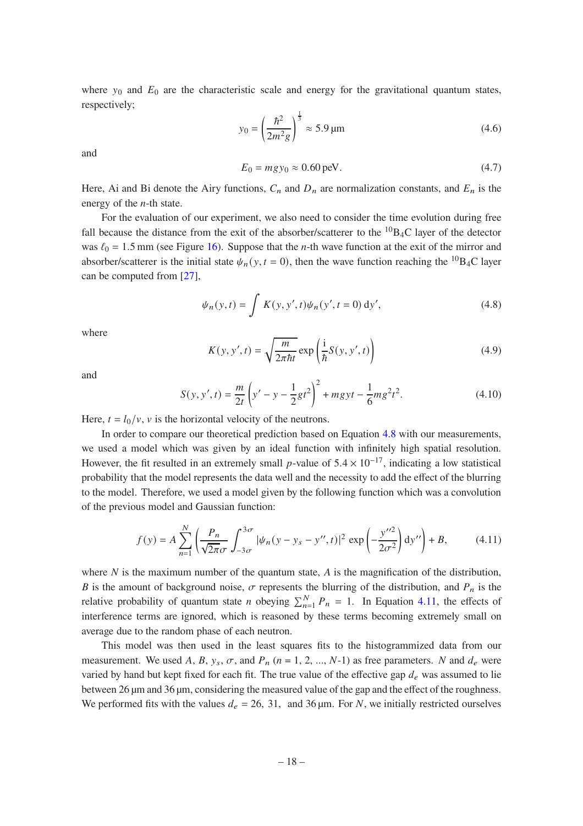where  $y_0$  and  $E_0$  are the characteristic scale and energy for the gravitational quantum states, respectively;

<span id="page-19-2"></span>
$$
y_0 = \left(\frac{\hbar^2}{2m^2 g}\right)^{\frac{1}{3}} \approx 5.9 \,\text{\mu m} \tag{4.6}
$$

and

$$
E_0 = mgy_0 \approx 0.60 \,\text{peV}.\tag{4.7}
$$

Here, Ai and Bi denote the Airy functions,  $C_n$  and  $D_n$  are normalization constants, and  $E_n$  is the energy of the  $n$ -th state.

For the evaluation of our experiment, we also need to consider the time evolution during free fall because the distance from the exit of the absorber/scatterer to the  ${}^{10}B_4C$  layer of the detector was  $\ell_0 = 1.5$  mm (see Figure [16\)](#page-16-1). Suppose that the *n*-th wave function at the exit of the mirror and absorber/scatterer is the initial state  $\psi_n(y, t = 0)$ , then the wave function reaching the <sup>10</sup>B<sub>4</sub>C layer can be computed from [\[27](#page-25-1)],

<span id="page-19-0"></span>
$$
\psi_n(y,t) = \int K(y, y', t) \psi_n(y', t = 0) \, dy', \tag{4.8}
$$

where

$$
K(y, y', t) = \sqrt{\frac{m}{2\pi\hbar t}} \exp\left(\frac{i}{\hbar}S(y, y', t)\right)
$$
(4.9)

and

$$
S(y, y', t) = \frac{m}{2t} \left( y' - y - \frac{1}{2}gt^2 \right)^2 + mgyt - \frac{1}{6}mg^2t^2.
$$
 (4.10)

Here,  $t = l_0/v$ , v is the horizontal velocity of the neutrons.

In order to compare our theoretical prediction based on Equation [4.8](#page-19-0) with our measurements, we used a model which was given by an ideal function with infinitely high spatial resolution. However, the fit resulted in an extremely small p-value of  $5.4 \times 10^{-17}$ , indicating a low statistical probability that the model represents the data well and the necessity to add the effect of the blurring to the model. Therefore, we used a model given by the following function which was a convolution of the previous model and Gaussian function:

<span id="page-19-1"></span>
$$
f(y) = A \sum_{n=1}^{N} \left( \frac{P_n}{\sqrt{2\pi}\sigma} \int_{-3\sigma}^{3\sigma} |\psi_n(y - y_s - y'', t)|^2 \exp\left( -\frac{y''^2}{2\sigma^2} \right) dy'' \right) + B,\tag{4.11}
$$

where  $N$  is the maximum number of the quantum state,  $\overline{A}$  is the magnification of the distribution, B is the amount of background noise,  $\sigma$  represents the blurring of the distribution, and  $P_n$  is the relative probability of quantum state *n* obeying  $\sum_{n=1}^{N} P_n = 1$ . In Equation [4.11,](#page-19-1) the effects of interference terms are ignored, which is reasoned by these terms becoming extremely small on average due to the random phase of each neutron.

This model was then used in the least squares fits to the histogrammized data from our measurement. We used A, B,  $y_s$ ,  $\sigma$ , and  $P_n$  ( $n = 1, 2, ..., N-1$ ) as free parameters. N and  $d_e$  were varied by hand but kept fixed for each fit. The true value of the effective gap  $d_e$  was assumed to lie between 26 µm and 36 µm, considering the measured value of the gap and the effect of the roughness. We performed fits with the values  $d_e = 26$ , 31, and 36 µm. For N, we initially restricted ourselves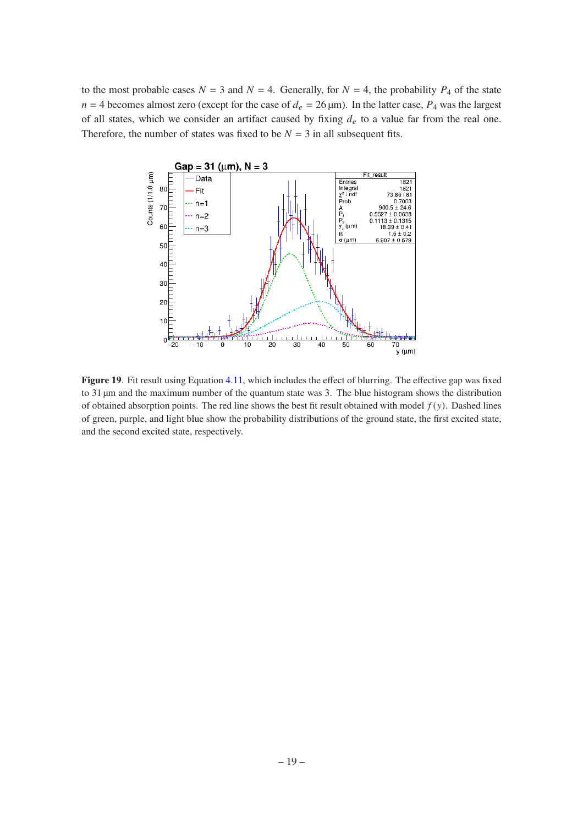to the most probable cases  $N = 3$  and  $N = 4$ . Generally, for  $N = 4$ , the probability  $P_4$  of the state  $n = 4$  becomes almost zero (except for the case of  $d_e = 26 \,\mu\text{m}$ ). In the latter case,  $P_4$  was the largest of all states, which we consider an artifact caused by fixing  $d_e$  to a value far from the real one. Therefore, the number of states was fixed to be  $N = 3$  in all subsequent fits.



<span id="page-20-0"></span>Figure 19. Fit result using Equation [4.11,](#page-19-1) which includes the effect of blurring. The effective gap was fixed to 31 µm and the maximum number of the quantum state was 3. The blue histogram shows the distribution of obtained absorption points. The red line shows the best fit result obtained with model  $f(y)$ . Dashed lines of green, purple, and light blue show the probability distributions of the ground state, the first excited state, and the second excited state, respectively.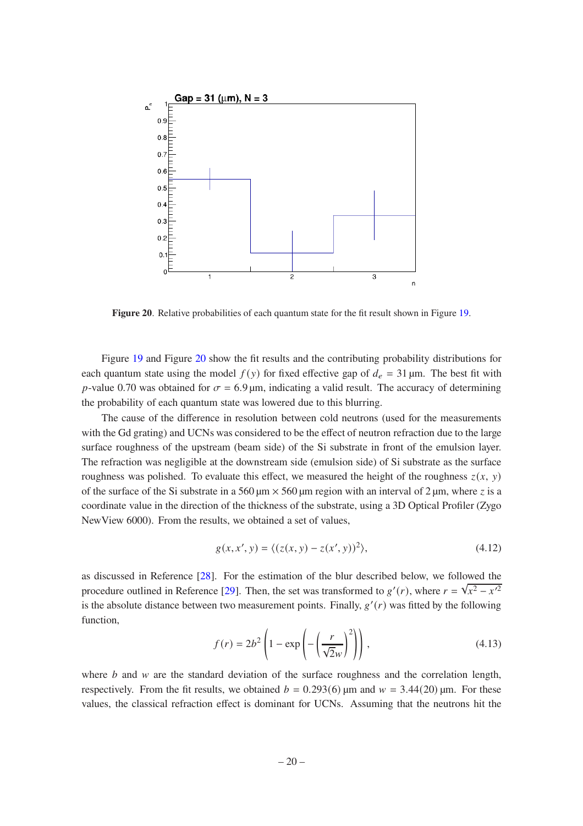

<span id="page-21-0"></span>**Figure 20**. Relative probabilities of each quantum state for the fit result shown in Figure [19.](#page-20-0)

Figure [19](#page-20-0) and Figure [20](#page-21-0) show the fit results and the contributing probability distributions for each quantum state using the model  $f(y)$  for fixed effective gap of  $d_e = 31 \,\mu\text{m}$ . The best fit with p-value 0.70 was obtained for  $\sigma = 6.9 \,\text{\mu m}$ , indicating a valid result. The accuracy of determining the probability of each quantum state was lowered due to this blurring.

The cause of the difference in resolution between cold neutrons (used for the measurements with the Gd grating) and UCNs was considered to be the effect of neutron refraction due to the large surface roughness of the upstream (beam side) of the Si substrate in front of the emulsion layer. The refraction was negligible at the downstream side (emulsion side) of Si substrate as the surface roughness was polished. To evaluate this effect, we measured the height of the roughness  $z(x, y)$ of the surface of the Si substrate in a 560  $\mu$ m  $\times$  560  $\mu$ m region with an interval of 2  $\mu$ m, where z is a coordinate value in the direction of the thickness of the substrate, using a 3D Optical Profiler (Zygo NewView 6000). From the results, we obtained a set of values,

$$
g(x, x', y) = \langle (z(x, y) - z(x', y))^2 \rangle,
$$
 (4.12)

as discussed in Reference [\[28](#page-25-2)]. For the estimation of the blur described below, we followed the procedure outlined in Reference [\[29](#page-25-3)]. Then, the set was transformed to  $g'(r)$ , where  $r = \sqrt{x^2 - x'^2}$ is the absolute distance between two measurement points. Finally,  $g'(r)$  was fitted by the following function,

$$
f(r) = 2b^2 \left( 1 - \exp\left( -\left(\frac{r}{\sqrt{2}w}\right)^2 \right) \right),\tag{4.13}
$$

where  $b$  and  $w$  are the standard deviation of the surface roughness and the correlation length, respectively. From the fit results, we obtained  $b = 0.293(6)$  µm and  $w = 3.44(20)$  µm. For these values, the classical refraction effect is dominant for UCNs. Assuming that the neutrons hit the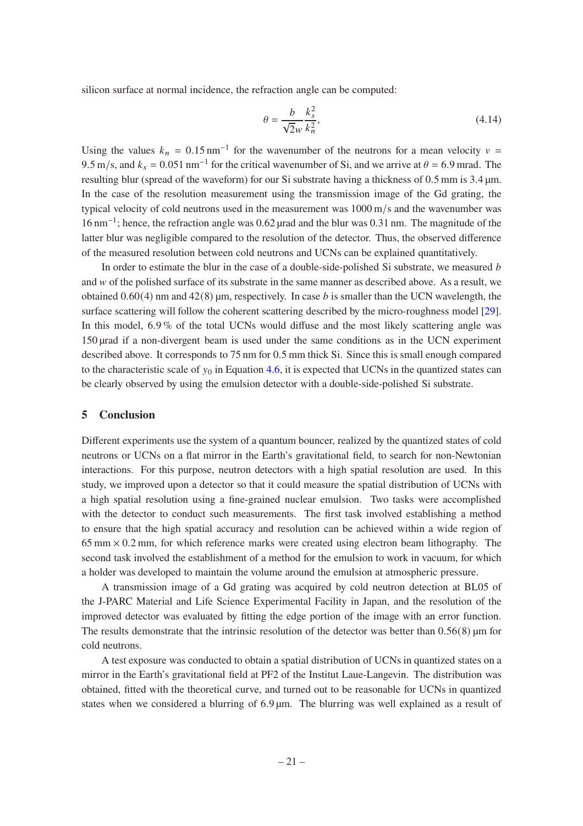silicon surface at normal incidence, the refraction angle can be computed:

$$
\theta = \frac{b}{\sqrt{2}w} \frac{k_s^2}{k_n^2},\tag{4.14}
$$

Using the values  $k_n = 0.15 \text{ nm}^{-1}$  for the wavenumber of the neutrons for a mean velocity  $v =$ 9.5 m/s, and  $k_s = 0.051$  nm<sup>-1</sup> for the critical wavenumber of Si, and we arrive at  $\theta = 6.9$  mrad. The resulting blur (spread of the waveform) for our Si substrate having a thickness of 0.5 mm is 3.4 µm. In the case of the resolution measurement using the transmission image of the Gd grating, the typical velocity of cold neutrons used in the measurement was 1000 m/s and the wavenumber was 16 nm<sup>-1</sup>; hence, the refraction angle was 0.62 µrad and the blur was 0.31 nm. The magnitude of the latter blur was negligible compared to the resolution of the detector. Thus, the observed difference of the measured resolution between cold neutrons and UCNs can be explained quantitatively.

In order to estimate the blur in the case of a double-side-polished Si substrate, we measured  $$ and w of the polished surface of its substrate in the same manner as described above. As a result, we obtained  $0.60(4)$  nm and  $42(8)$  µm, respectively. In case *b* is smaller than the UCN wavelength, the surface scattering will follow the coherent scattering described by the micro-roughness model [\[29](#page-25-3)]. In this model, 6.9 % of the total UCNs would diffuse and the most likely scattering angle was 150 µrad if a non-divergent beam is used under the same conditions as in the UCN experiment described above. It corresponds to 75 nm for 0.5 mm thick Si. Since this is small enough compared to the characteristic scale of  $y_0$  in Equation [4.6,](#page-19-2) it is expected that UCNs in the quantized states can be clearly observed by using the emulsion detector with a double-side-polished Si substrate.

### <span id="page-22-0"></span>**5 Conclusion**

Different experiments use the system of a quantum bouncer, realized by the quantized states of cold neutrons or UCNs on a flat mirror in the Earth's gravitational field, to search for non-Newtonian interactions. For this purpose, neutron detectors with a high spatial resolution are used. In this study, we improved upon a detector so that it could measure the spatial distribution of UCNs with a high spatial resolution using a fine-grained nuclear emulsion. Two tasks were accomplished with the detector to conduct such measurements. The first task involved establishing a method to ensure that the high spatial accuracy and resolution can be achieved within a wide region of  $65 \text{ mm} \times 0.2 \text{ mm}$ , for which reference marks were created using electron beam lithography. The second task involved the establishment of a method for the emulsion to work in vacuum, for which a holder was developed to maintain the volume around the emulsion at atmospheric pressure.

A transmission image of a Gd grating was acquired by cold neutron detection at BL05 of the J-PARC Material and Life Science Experimental Facility in Japan, and the resolution of the improved detector was evaluated by fitting the edge portion of the image with an error function. The results demonstrate that the intrinsic resolution of the detector was better than  $0.56(8)$  um for cold neutrons.

A test exposure was conducted to obtain a spatial distribution of UCNs in quantized states on a mirror in the Earth's gravitational field at PF2 of the Institut Laue-Langevin. The distribution was obtained, fitted with the theoretical curve, and turned out to be reasonable for UCNs in quantized states when we considered a blurring of 6.9 µm. The blurring was well explained as a result of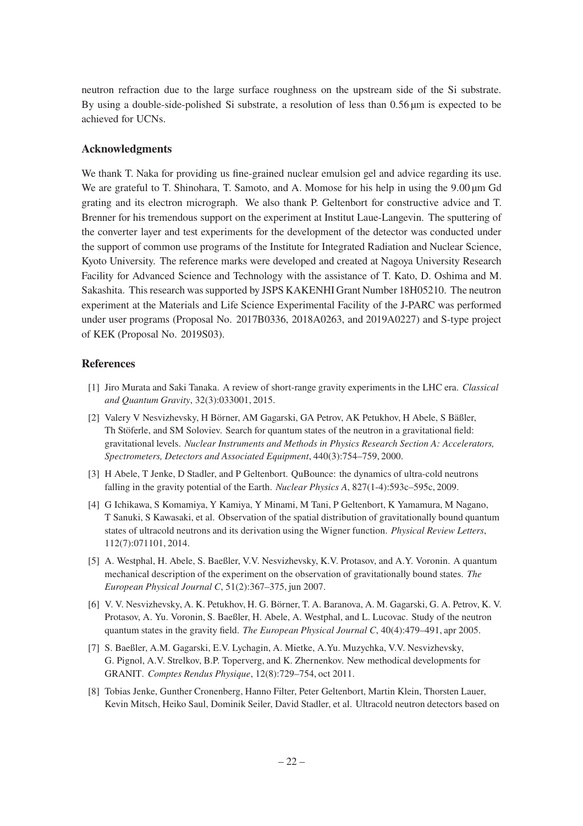neutron refraction due to the large surface roughness on the upstream side of the Si substrate. By using a double-side-polished Si substrate, a resolution of less than 0.56 µm is expected to be achieved for UCNs.

## **Acknowledgments**

We thank T. Naka for providing us fine-grained nuclear emulsion gel and advice regarding its use. We are grateful to T. Shinohara, T. Samoto, and A. Momose for his help in using the 9.00  $\mu$ m Gd grating and its electron micrograph. We also thank P. Geltenbort for constructive advice and T. Brenner for his tremendous support on the experiment at Institut Laue-Langevin. The sputtering of the converter layer and test experiments for the development of the detector was conducted under the support of common use programs of the Institute for Integrated Radiation and Nuclear Science, Kyoto University. The reference marks were developed and created at Nagoya University Research Facility for Advanced Science and Technology with the assistance of T. Kato, D. Oshima and M. Sakashita. This research was supported by JSPS KAKENHI Grant Number 18H05210. The neutron experiment at the Materials and Life Science Experimental Facility of the J-PARC was performed under user programs (Proposal No. 2017B0336, 2018A0263, and 2019A0227) and S-type project of KEK (Proposal No. 2019S03).

## **References**

- <span id="page-23-0"></span>[1] Jiro Murata and Saki Tanaka. A review of short-range gravity experiments in the LHC era. *Classical and Quantum Gravity*, 32(3):033001, 2015.
- <span id="page-23-1"></span>[2] Valery V Nesvizhevsky, H Börner, AM Gagarski, GA Petrov, AK Petukhov, H Abele, S Bäßler, Th Stöferle, and SM Soloviev. Search for quantum states of the neutron in a gravitational field: gravitational levels. *Nuclear Instruments and Methods in Physics Research Section A: Accelerators, Spectrometers, Detectors and Associated Equipment*, 440(3):754–759, 2000.
- <span id="page-23-6"></span>[3] H Abele, T Jenke, D Stadler, and P Geltenbort. QuBounce: the dynamics of ultra-cold neutrons falling in the gravity potential of the Earth. *Nuclear Physics A*, 827(1-4):593c–595c, 2009.
- <span id="page-23-3"></span>[4] G Ichikawa, S Komamiya, Y Kamiya, Y Minami, M Tani, P Geltenbort, K Yamamura, M Nagano, T Sanuki, S Kawasaki, et al. Observation of the spatial distribution of gravitationally bound quantum states of ultracold neutrons and its derivation using the Wigner function. *Physical Review Letters*, 112(7):071101, 2014.
- <span id="page-23-2"></span>[5] A. Westphal, H. Abele, S. Baeßler, V.V. Nesvizhevsky, K.V. Protasov, and A.Y. Voronin. A quantum mechanical description of the experiment on the observation of gravitationally bound states. *The European Physical Journal C*, 51(2):367–375, jun 2007.
- <span id="page-23-4"></span>[6] V. V. Nesvizhevsky, A. K. Petukhov, H. G. Börner, T. A. Baranova, A. M. Gagarski, G. A. Petrov, K. V. Protasov, A. Yu. Voronin, S. Baeßler, H. Abele, A. Westphal, and L. Lucovac. Study of the neutron quantum states in the gravity field. *The European Physical Journal C*, 40(4):479–491, apr 2005.
- <span id="page-23-5"></span>[7] S. Baeßler, A.M. Gagarski, E.V. Lychagin, A. Mietke, A.Yu. Muzychka, V.V. Nesvizhevsky, G. Pignol, A.V. Strelkov, B.P. Toperverg, and K. Zhernenkov. New methodical developments for GRANIT. *Comptes Rendus Physique*, 12(8):729–754, oct 2011.
- <span id="page-23-7"></span>[8] Tobias Jenke, Gunther Cronenberg, Hanno Filter, Peter Geltenbort, Martin Klein, Thorsten Lauer, Kevin Mitsch, Heiko Saul, Dominik Seiler, David Stadler, et al. Ultracold neutron detectors based on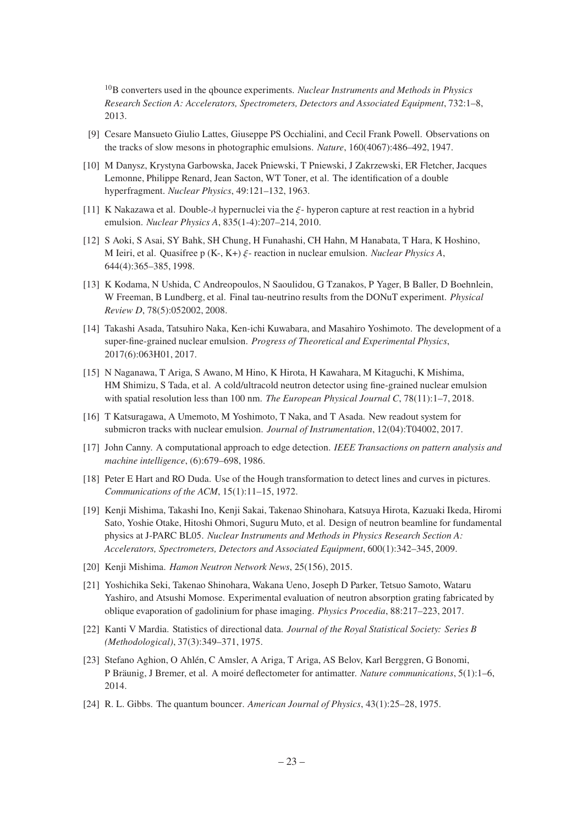<sup>10</sup>B converters used in the qbounce experiments. *Nuclear Instruments and Methods in Physics Research Section A: Accelerators, Spectrometers, Detectors and Associated Equipment*, 732:1–8, 2013.

- <span id="page-24-0"></span>[9] Cesare Mansueto Giulio Lattes, Giuseppe PS Occhialini, and Cecil Frank Powell. Observations on the tracks of slow mesons in photographic emulsions. *Nature*, 160(4067):486–492, 1947.
- <span id="page-24-1"></span>[10] M Danysz, Krystyna Garbowska, Jacek Pniewski, T Pniewski, J Zakrzewski, ER Fletcher, Jacques Lemonne, Philippe Renard, Jean Sacton, WT Toner, et al. The identification of a double hyperfragment. *Nuclear Physics*, 49:121–132, 1963.
- [11] K Nakazawa et al. Double- $\lambda$  hypernuclei via the  $\xi$  hyperon capture at rest reaction in a hybrid emulsion. *Nuclear Physics A*, 835(1-4):207–214, 2010.
- <span id="page-24-2"></span>[12] S Aoki, S Asai, SY Bahk, SH Chung, H Funahashi, CH Hahn, M Hanabata, T Hara, K Hoshino, M Ieiri, et al. Quasifree p  $(K-, K+)$   $\xi$ - reaction in nuclear emulsion. *Nuclear Physics A*, 644(4):365–385, 1998.
- <span id="page-24-3"></span>[13] K Kodama, N Ushida, C Andreopoulos, N Saoulidou, G Tzanakos, P Yager, B Baller, D Boehnlein, W Freeman, B Lundberg, et al. Final tau-neutrino results from the DONuT experiment. *Physical Review D*, 78(5):052002, 2008.
- <span id="page-24-4"></span>[14] Takashi Asada, Tatsuhiro Naka, Ken-ichi Kuwabara, and Masahiro Yoshimoto. The development of a super-fine-grained nuclear emulsion. *Progress of Theoretical and Experimental Physics*, 2017(6):063H01, 2017.
- <span id="page-24-5"></span>[15] N Naganawa, T Ariga, S Awano, M Hino, K Hirota, H Kawahara, M Kitaguchi, K Mishima, HM Shimizu, S Tada, et al. A cold/ultracold neutron detector using fine-grained nuclear emulsion with spatial resolution less than 100 nm. *The European Physical Journal C*, 78(11):1–7, 2018.
- <span id="page-24-6"></span>[16] T Katsuragawa, A Umemoto, M Yoshimoto, T Naka, and T Asada. New readout system for submicron tracks with nuclear emulsion. *Journal of Instrumentation*, 12(04):T04002, 2017.
- <span id="page-24-7"></span>[17] John Canny. A computational approach to edge detection. *IEEE Transactions on pattern analysis and machine intelligence*, (6):679–698, 1986.
- <span id="page-24-8"></span>[18] Peter E Hart and RO Duda. Use of the Hough transformation to detect lines and curves in pictures. *Communications of the ACM*, 15(1):11–15, 1972.
- <span id="page-24-9"></span>[19] Kenji Mishima, Takashi Ino, Kenji Sakai, Takenao Shinohara, Katsuya Hirota, Kazuaki Ikeda, Hiromi Sato, Yoshie Otake, Hitoshi Ohmori, Suguru Muto, et al. Design of neutron beamline for fundamental physics at J-PARC BL05. *Nuclear Instruments and Methods in Physics Research Section A: Accelerators, Spectrometers, Detectors and Associated Equipment*, 600(1):342–345, 2009.
- <span id="page-24-10"></span>[20] Kenji Mishima. *Hamon Neutron Network News*, 25(156), 2015.
- <span id="page-24-11"></span>[21] Yoshichika Seki, Takenao Shinohara, Wakana Ueno, Joseph D Parker, Tetsuo Samoto, Wataru Yashiro, and Atsushi Momose. Experimental evaluation of neutron absorption grating fabricated by oblique evaporation of gadolinium for phase imaging. *Physics Procedia*, 88:217–223, 2017.
- <span id="page-24-12"></span>[22] Kanti V Mardia. Statistics of directional data. *Journal of the Royal Statistical Society: Series B (Methodological)*, 37(3):349–371, 1975.
- <span id="page-24-13"></span>[23] Stefano Aghion, O Ahlén, C Amsler, A Ariga, T Ariga, AS Belov, Karl Berggren, G Bonomi, P Bräunig, J Bremer, et al. A moiré deflectometer for antimatter. *Nature communications*, 5(1):1–6, 2014.
- [24] R. L. Gibbs. The quantum bouncer. *American Journal of Physics*, 43(1):25–28, 1975.